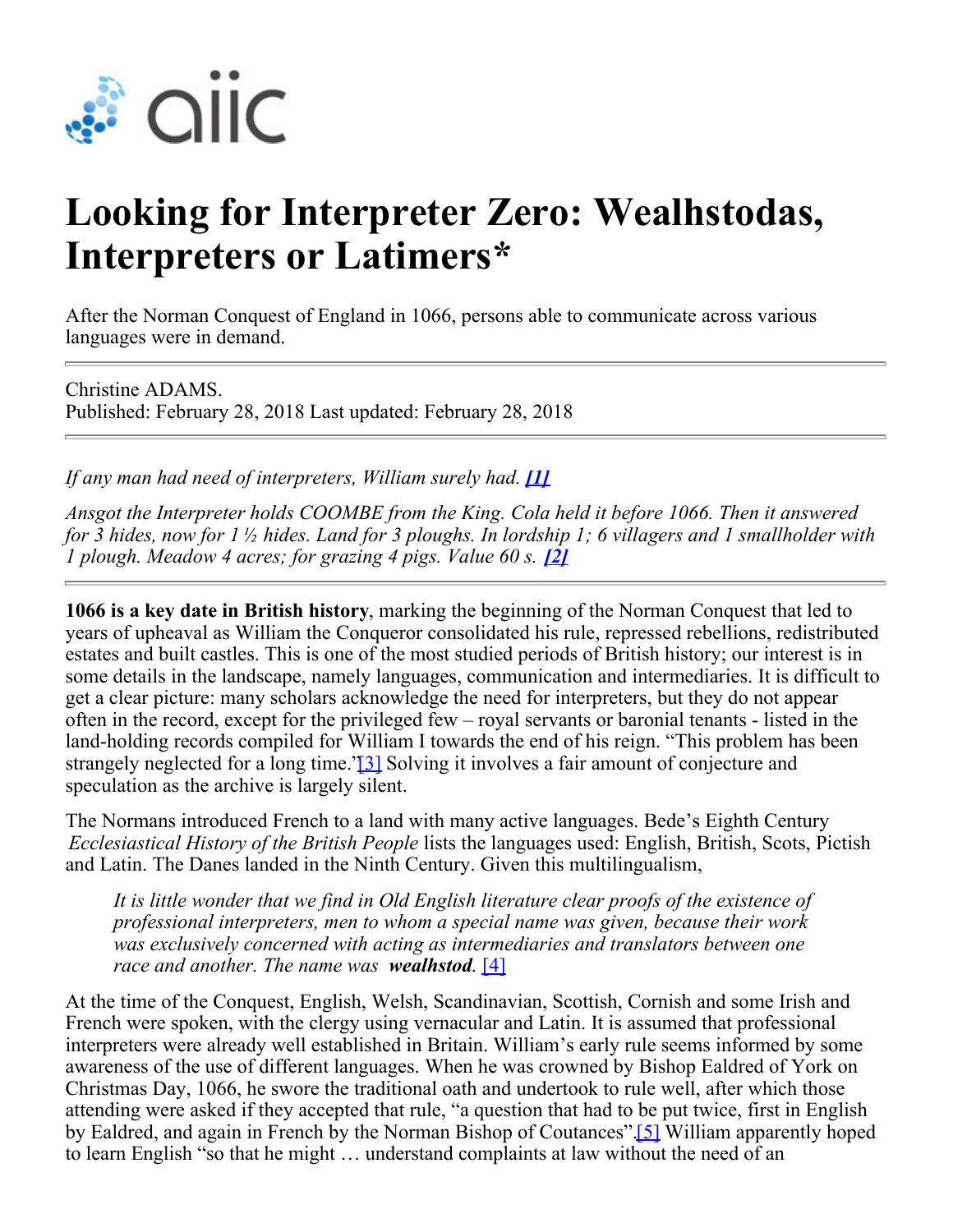

## **Looking for Interpreter Zero: Wealhstodas, Interpreters or Latimers\***

After the Norman Conquest of England in 1066, persons able to communicate across various languages were in demand.

Christine ADAMS. Published: February 28, 2018 Last updated: February 28, 2018

*If any man had need of interpreters, William surely had. [\[1\]](https://aiic.net/authoring/new#_ftn1)* 

*Ansgot the Interpreter holds COOMBE from the King. Cola held it before 1066. Then it answered for 3 hides, now for 1 ½ hides. Land for 3 ploughs. In lordship 1; 6 villagers and 1 smallholder with 1 plough. Meadow 4 acres; for grazing 4 pigs. Value 60 s.* [\[2\]](https://aiic.net/authoring/new#_ftn2)

**1066 is a key date in British history**, marking the beginning of the Norman Conquest that led to years of upheaval as William the Conqueror consolidated his rule, repressed rebellions, redistributed estates and built castles. This is one of the most studied periods of British history; our interest is in some details in the landscape, namely languages, communication and intermediaries. It is difficult to get a clear picture: many scholars acknowledge the need for interpreters, but they do not appear often in the record, except for the privileged few – royal servants or baronial tenants - listed in the land-holding records compiled for William I towards the end of his reign. "This problem has been strangely neglected for a long time.'<sup>[3]</sup> Solving it involves a fair amount of conjecture and speculation as the archive is largely silent.

The Normans introduced French to a land with many active languages. Bede's Eighth Century *Ecclesiastical History of the British People* lists the languages used: English, British, Scots, Pictish and Latin. The Danes landed in the Ninth Century. Given this multilingualism,

*It is little wonder that we find in Old English literature clear proofs of the existence of professional interpreters, men to whom a special name was given, because their work was exclusively concerned with acting as intermediaries and translators between one race and another. The name was wealhstod*. [\[4\]](https://aiic.net/authoring/new#_ftn4)

At the time of the Conquest, English, Welsh, Scandinavian, Scottish, Cornish and some Irish and French were spoken, with the clergy using vernacular and Latin. It is assumed that professional interpreters were already well established in Britain. William's early rule seems informed by some awareness of the use of different languages. When he was crowned by Bishop Ealdred of York on Christmas Day, 1066, he swore the traditional oath and undertook to rule well, after which those attending were asked if they accepted that rule, "a question that had to be put twice, first in English by Ealdred, and again in French by the Norman Bishop of Coutances"[.\[5\]](https://aiic.net/authoring/new#_ftn5) William apparently hoped to learn En[glis](https://aiic.net/authoring/new#_ftn6)h "so that he might … understand complaints at law without the need of an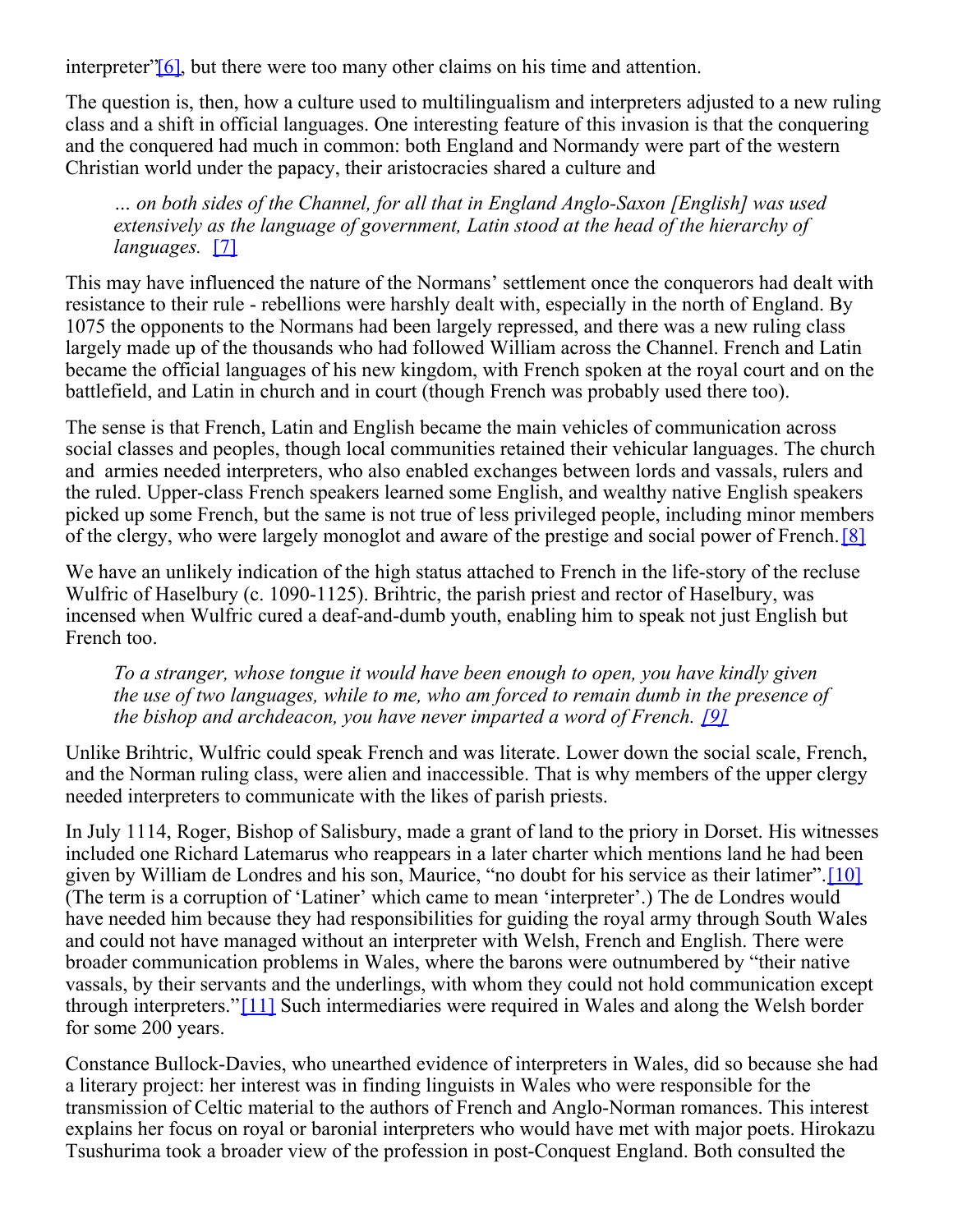interpreter" $[6]$ , but there were too many other claims on his time and attention.

The question is, then, how a culture used to multilingualism and interpreters adjusted to a new ruling class and a shift in official languages. One interesting feature of this invasion is that the conquering and the conquered had much in common: both England and Normandy were part of the western Christian world under the papacy, their aristocracies shared a culture and

*… on both sides of the Channel, for all that in England Anglo-Saxon [English] was used extensively as the language of government, Latin stood at the head of the hierarchy of languages.* [\[7\]](https://aiic.net/authoring/new#_ftn7)

This may have influenced the nature of the Normans' settlement once the conquerors had dealt with resistance to their rule - rebellions were harshly dealt with, especially in the north of England. By 1075 the opponents to the Normans had been largely repressed, and there was a new ruling class largely made up of the thousands who had followed William across the Channel. French and Latin became the official languages of his new kingdom, with French spoken at the royal court and on the battlefield, and Latin in church and in court (though French was probably used there too).

The sense is that French, Latin and English became the main vehicles of communication across social classes and peoples, though local communities retained their vehicular languages. The church and armies needed interpreters, who also enabled exchanges between lords and vassals, rulers and the ruled. Upper-class French speakers learned some English, and wealthy native English speakers picked up some French, but the same is not true of less privileged people, including minor members of the clergy, who were largely monoglot and aware of the prestige and social power of French.[\[8\]](https://aiic.net/authoring/new#_ftn8)

We have an unlikely indication of the high status attached to French in the life-story of the recluse Wulfric of Haselbury (c. 1090-1125). Brihtric, the parish priest and rector of Haselbury, was incensed when Wulfric cured a deaf-and-dumb youth, enabling him to speak not just English but French too.

*To a stranger, whose tongue it would have been enough to open, you have kindly given the use of two languages, while to me, who am forced to remain dumb in the presence of the bishop and archdeacon, you have never imparted a word of French. [\[9\]](https://aiic.net/authoring/new#_ftn9)*

Unlike Brihtric, Wulfric could speak French and was literate. Lower down the social scale, French, and the Norman ruling class, were alien and inaccessible. That is why members of the upper clergy needed interpreters to communicate with the likes of parish priests.

In July 1114, Roger, Bishop of Salisbury, made a grant of land to the priory in Dorset. His witnesses included one Richard Latemarus who reappears in a later charter which mentions land he had been given by William de Londres and his son, Maurice, "no doubt for his service as their latimer".[\[10\]](https://aiic.net/authoring/new#_ftn10) (The term is a corruption of 'Latiner' which came to mean 'interpreter'.) The de Londres would have needed him because they had responsibilities for guiding the royal army through South Wales and could not have managed without an interpreter with Welsh, French and English. There were broader communication problems in Wales, where the barons were outnumbered by "their native vassals, by their servants and the underlings, with whom they could not hold communication except through interpreters."[\[11\]](https://aiic.net/authoring/new#_ftn11) Such intermediaries were required in Wales and along the Welsh border for some 200 years.

Constance Bullock-Davies, who unearthed evidence of interpreters in Wales, did so because she had a literary project: her interest was in finding linguists in Wales who were responsible for the transmission of Celtic material to the authors of French and Anglo-Norman romances. This interest explains her focus on royal or baronial interpreters who would have met with major poets. Hirokazu Tsushurima took a broader view of the profession in post-Conquest England. Both consulted the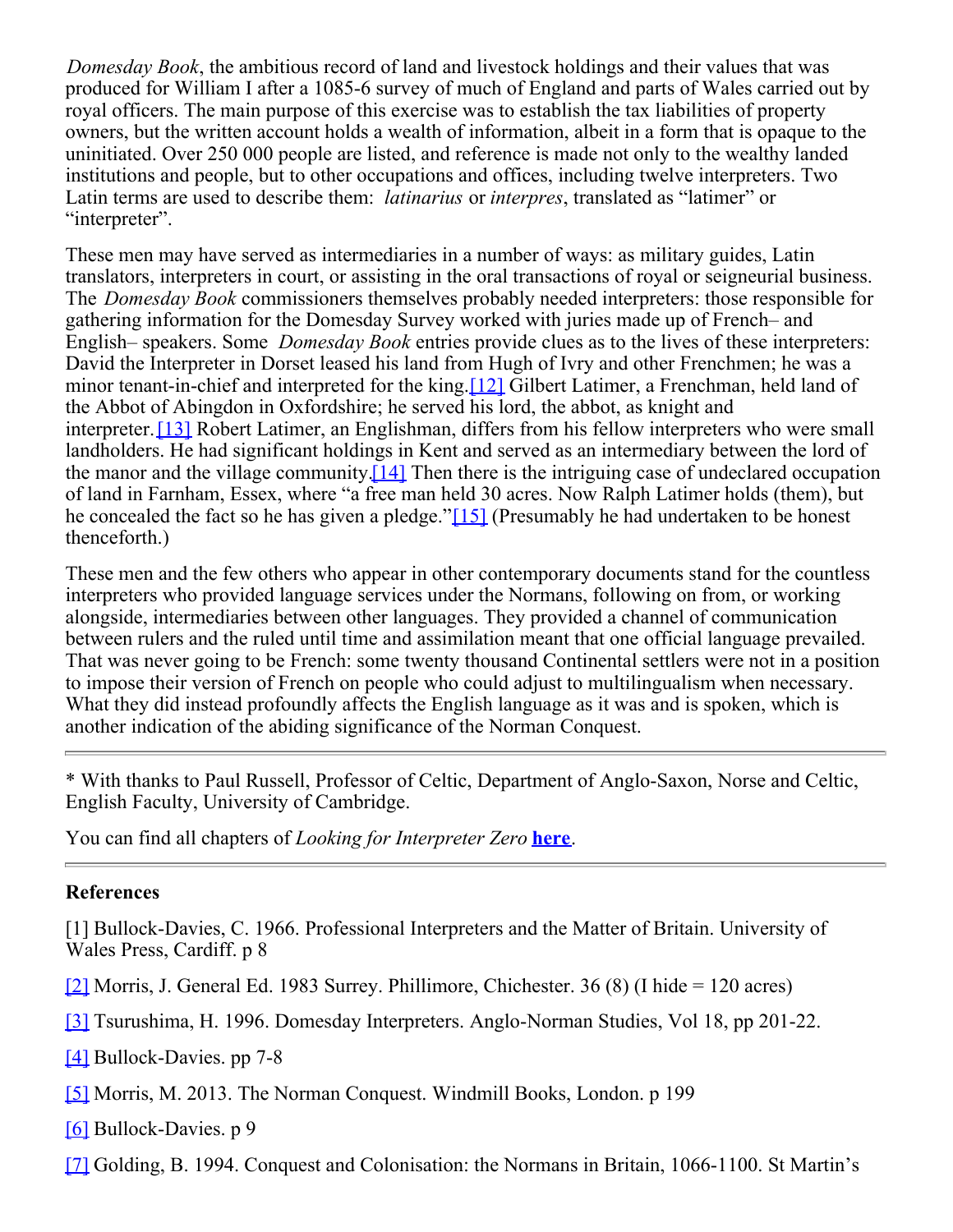*Domesday Book*, the ambitious record of land and livestock holdings and their values that was produced for William I after a 1085-6 survey of much of England and parts of Wales carried out by royal officers. The main purpose of this exercise was to establish the tax liabilities of property owners, but the written account holds a wealth of information, albeit in a form that is opaque to the uninitiated. Over 250 000 people are listed, and reference is made not only to the wealthy landed institutions and people, but to other occupations and offices, including twelve interpreters. Two Latin terms are used to describe them: *latinarius* or *interpres*, translated as "latimer" or "interpreter".

These men may have served as intermediaries in a number of ways: as military guides, Latin translators, interpreters in court, or assisting in the oral transactions of royal or seigneurial business. The *Domesday Book* commissioners themselves probably needed interpreters: those responsible for gathering information for the Domesday Survey worked with juries made up of French– and English– speakers. Some *Domesday Book* entries provide clues as to the lives of these interpreters: David the Interpreter in Dorset leased his land from Hugh of Ivry and other Frenchmen; he was a minor tenant-in-chief and interpreted for the king.[\[12\]](https://aiic.net/authoring/new#_ftn12) Gilbert Latimer, a Frenchman, held land of the Abbot of Abingdon in Oxfordshire; he served his lord, the abbot, as knight and interpreter.[\[13\]](https://aiic.net/authoring/new#_ftn13) Robert Latimer, an Englishman, differs from his fellow interpreters who were small landholders. He had significant holdings in Kent and served as an intermediary between the lord of the manor and the village community[.\[14\]](https://aiic.net/authoring/new#_ftn14) Then there is the intriguing case of undeclared occupation of land in Farnham, Essex, where "a free man held 30 acres. Now Ralph Latimer holds (them), but he concealed the fact so he has given a pledge."[\[15\]](https://aiic.net/authoring/new#_ftn15) (Presumably he had undertaken to be honest thenceforth.)

These men and the few others who appear in other contemporary documents stand for the countless interpreters who provided language services under the Normans, following on from, or working alongside, intermediaries between other languages. They provided a channel of communication between rulers and the ruled until time and assimilation meant that one official language prevailed. That was never going to be French: some twenty thousand Continental settlers were not in a position to impose their version of French on people who could adjust to multilingualism when necessary. What they did instead profoundly affects the English language as it was and is spoken, which is another indication of the abiding significance of the Norman Conquest.

\* With thanks to Paul Russell, Professor of Celtic, Department of Anglo-Saxon, Norse and Celtic, English Faculty, University of Cambridge.

You can find all chapters of *Looking for Interpreter Zero* **[here](https://aiic.net/search/tags/interpreter-zero)**.

## **References**

[1] Bullock-Davies, C. 1966. Professional Interpreters and the Matter of Britain. University of Wales Press, Cardiff. p 8

- [\[2\]](https://aiic.net/authoring/new#_ftnref2) Morris, J. General Ed. 1983 Surrey. Phillimore, Chichester. 36 (8) (I hide = 120 acres)
- [\[3\]](https://aiic.net/authoring/new#_ftnref3) Tsurushima, H. 1996. Domesday Interpreters. Anglo-Norman Studies, Vol 18, pp 201-22.
- [\[4\]](https://aiic.net/authoring/new#_ftnref4) Bullock-Davies. pp 7-8
- [\[5\]](https://aiic.net/authoring/new#_ftnref5) Morris, M. 2013. The Norman Conquest. Windmill Books, London. p 199
- [\[6\]](https://aiic.net/authoring/new#_ftnref6) Bullock-Davies. p 9
- [\[7\]](https://aiic.net/authoring/new#_ftnref7) Golding, B. 1994. Conquest and Colonisation: the Normans in Britain, 1066-1100. St Martin's